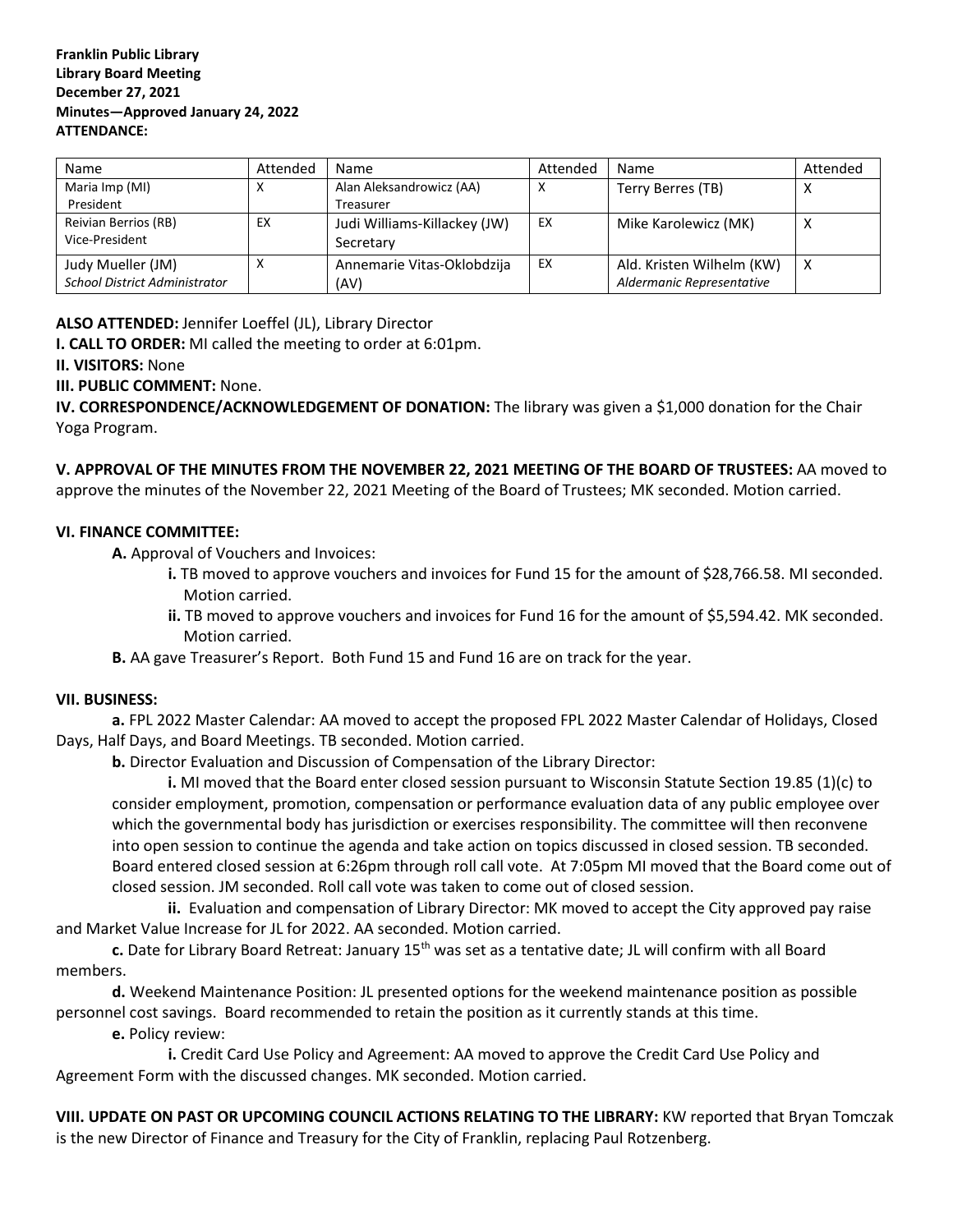### **Franklin Public Library Library Board Meeting December 27, 2021 Minutes—Approved January 24, 2022 ATTENDANCE:**

| Name                                 | Attended | Name                         | Attended | Name                      | Attended |
|--------------------------------------|----------|------------------------------|----------|---------------------------|----------|
| Maria Imp (MI)                       | х        | Alan Aleksandrowicz (AA)     | х        | Terry Berres (TB)         | ∧        |
| President                            |          | Treasurer                    |          |                           |          |
| Reivian Berrios (RB)                 | EX       | Judi Williams-Killackey (JW) | EX       | Mike Karolewicz (MK)      | х        |
| Vice-President                       |          | Secretary                    |          |                           |          |
| Judy Mueller (JM)                    | х        | Annemarie Vitas-Oklobdzija   | EX       | Ald. Kristen Wilhelm (KW) | х        |
| <b>School District Administrator</b> |          | (AV)                         |          | Aldermanic Representative |          |

# **ALSO ATTENDED:** Jennifer Loeffel (JL), Library Director

**I. CALL TO ORDER:** MI called the meeting to order at 6:01pm.

#### **II. VISITORS:** None

## **III. PUBLIC COMMENT:** None.

**IV. CORRESPONDENCE/ACKNOWLEDGEMENT OF DONATION:** The library was given a \$1,000 donation for the Chair Yoga Program.

**V. APPROVAL OF THE MINUTES FROM THE NOVEMBER 22, 2021 MEETING OF THE BOARD OF TRUSTEES:** AA moved to approve the minutes of the November 22, 2021 Meeting of the Board of Trustees; MK seconded. Motion carried.

#### **VI. FINANCE COMMITTEE:**

**A.** Approval of Vouchers and Invoices:

- **i.** TB moved to approve vouchers and invoices for Fund 15 for the amount of \$28,766.58. MI seconded. Motion carried.
- **ii.** TB moved to approve vouchers and invoices for Fund 16 for the amount of \$5,594.42. MK seconded. Motion carried.
- **B.** AA gave Treasurer's Report. Both Fund 15 and Fund 16 are on track for the year.

#### **VII. BUSINESS:**

**a.** FPL 2022 Master Calendar: AA moved to accept the proposed FPL 2022 Master Calendar of Holidays, Closed Days, Half Days, and Board Meetings. TB seconded. Motion carried.

**b.** Director Evaluation and Discussion of Compensation of the Library Director:

**i.** MI moved that the Board enter closed session pursuant to Wisconsin Statute Section 19.85 (1)(c) to consider employment, promotion, compensation or performance evaluation data of any public employee over which the governmental body has jurisdiction or exercises responsibility. The committee will then reconvene into open session to continue the agenda and take action on topics discussed in closed session. TB seconded. Board entered closed session at 6:26pm through roll call vote. At 7:05pm MI moved that the Board come out of closed session. JM seconded. Roll call vote was taken to come out of closed session.

**ii.** Evaluation and compensation of Library Director: MK moved to accept the City approved pay raise and Market Value Increase for JL for 2022. AA seconded. Motion carried.

**c.** Date for Library Board Retreat: January 15th was set as a tentative date; JL will confirm with all Board members.

**d.** Weekend Maintenance Position: JL presented options for the weekend maintenance position as possible personnel cost savings. Board recommended to retain the position as it currently stands at this time.

**e.** Policy review:

**i.** Credit Card Use Policy and Agreement: AA moved to approve the Credit Card Use Policy and Agreement Form with the discussed changes. MK seconded. Motion carried.

**VIII. UPDATE ON PAST OR UPCOMING COUNCIL ACTIONS RELATING TO THE LIBRARY:** KW reported that Bryan Tomczak is the new Director of Finance and Treasury for the City of Franklin, replacing Paul Rotzenberg.